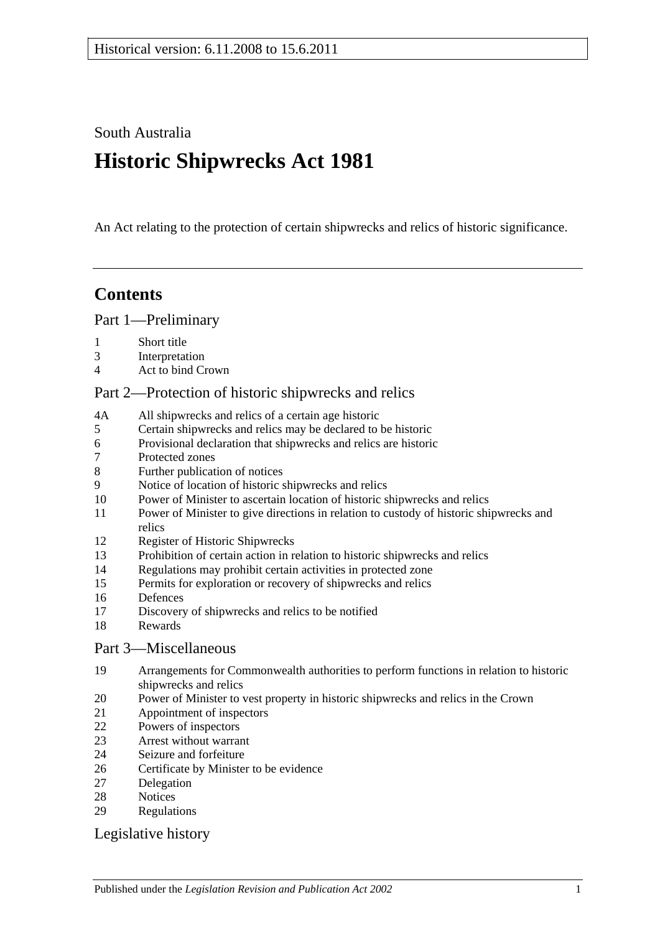South Australia

# **Historic Shipwrecks Act 1981**

An Act relating to the protection of certain shipwrecks and relics of historic significance.

# **Contents**

[Part 1—Preliminary](#page-1-0)

- [Short title](#page-1-1)
- [Interpretation](#page-1-2)
- [Act to bind Crown](#page-2-0)

# [Part 2—Protection of historic shipwrecks and relics](#page-2-1)

- 4A [All shipwrecks and relics of a certain age historic](#page-2-2)
- [Certain shipwrecks and relics may be declared to be historic](#page-2-3)
- [Provisional declaration that shipwrecks and relics are historic](#page-3-0)
- [Protected zones](#page-3-1)
- [Further publication of notices](#page-4-0)
- [Notice of location of historic shipwrecks and relics](#page-4-1)
- [Power of Minister to ascertain location of historic shipwrecks and relics](#page-4-2)
- [Power of Minister to give directions in relation to custody of historic shipwrecks and](#page-5-0)  [relics](#page-5-0)
- [Register of Historic Shipwrecks](#page-6-0)
- [Prohibition of certain action in relation to historic shipwrecks and relics](#page-6-1)
- [Regulations may prohibit certain activities in protected zone](#page-6-2)
- [Permits for exploration or recovery of shipwrecks and relics](#page-7-0)
- [Defences](#page-8-0)
- [Discovery of shipwrecks and relics to be notified](#page-9-0)
- [Rewards](#page-9-1)

## [Part 3—Miscellaneous](#page-10-0)

- [Arrangements for Commonwealth authorities to perform functions in relation to historic](#page-10-1)  [shipwrecks and relics](#page-10-1)
- [Power of Minister to vest property in historic shipwrecks and relics in the Crown](#page-10-2)
- [Appointment of inspectors](#page-10-3)
- [Powers of inspectors](#page-10-4)
- [Arrest without warrant](#page-12-0)
- [Seizure and forfeiture](#page-12-1)
- [Certificate by Minister to be evidence](#page-13-0)
- [Delegation](#page-13-1)
- [Notices](#page-13-2)
- [Regulations](#page-13-3)

## [Legislative history](#page-14-0)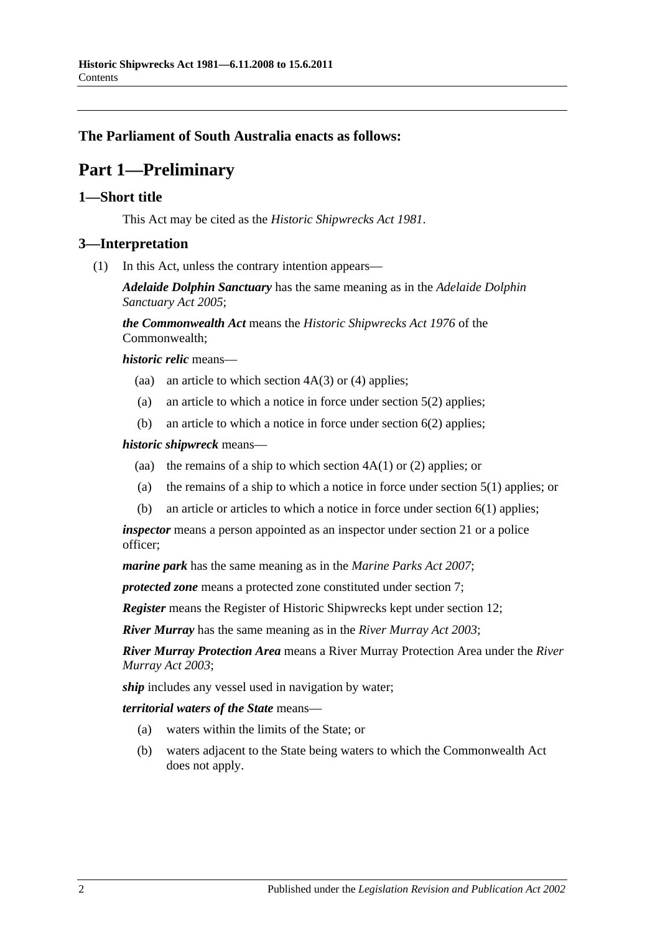# <span id="page-1-0"></span>**The Parliament of South Australia enacts as follows:**

# **Part 1—Preliminary**

## <span id="page-1-1"></span>**1—Short title**

This Act may be cited as the *Historic Shipwrecks Act 1981*.

# <span id="page-1-2"></span>**3—Interpretation**

(1) In this Act, unless the contrary intention appears—

*Adelaide Dolphin Sanctuary* has the same meaning as in the *[Adelaide Dolphin](http://www.legislation.sa.gov.au/index.aspx?action=legref&type=act&legtitle=Adelaide%20Dolphin%20Sanctuary%20Act%202005)  [Sanctuary Act](http://www.legislation.sa.gov.au/index.aspx?action=legref&type=act&legtitle=Adelaide%20Dolphin%20Sanctuary%20Act%202005) 2005*;

*the Commonwealth Act* means the *Historic Shipwrecks Act 1976* of the Commonwealth;

*historic relic* means—

- (aa) an article to which [section](#page-2-4)  $4A(3)$  or [\(4\)](#page-2-5) applies;
- (a) an article to which a notice in force under section 5(2) applies;
- (b) an article to which a notice in force under [section](#page-3-2) 6(2) applies;

#### *historic shipwreck* means—

- (aa) the remains of a ship to which [section](#page-2-6)  $4A(1)$  or [\(2\)](#page-2-7) applies; or
- (a) the remains of a ship to which a notice in force under section 5(1) applies; or
- (b) an article or articles to which a notice in force under [section](#page-3-3) 6(1) applies;

*inspector* means a person appointed as an inspector under [section](#page-10-3) 21 or a police officer;

*marine park* has the same meaning as in the *[Marine Parks Act 2007](http://www.legislation.sa.gov.au/index.aspx?action=legref&type=act&legtitle=Marine%20Parks%20Act%202007)*;

*protected zone* means a protected zone constituted under [section](#page-3-1) 7;

*Register* means the Register of Historic Shipwrecks kept under [section](#page-6-0) 12;

*River Murray* has the same meaning as in the *[River Murray Act](http://www.legislation.sa.gov.au/index.aspx?action=legref&type=act&legtitle=River%20Murray%20Act%202003) 2003*;

*River Murray Protection Area* means a River Murray Protection Area under the *[River](http://www.legislation.sa.gov.au/index.aspx?action=legref&type=act&legtitle=River%20Murray%20Act%202003)  [Murray Act](http://www.legislation.sa.gov.au/index.aspx?action=legref&type=act&legtitle=River%20Murray%20Act%202003) 2003*;

*ship* includes any vessel used in navigation by water;

*territorial waters of the State* means—

- (a) waters within the limits of the State; or
- (b) waters adjacent to the State being waters to which the Commonwealth Act does not apply.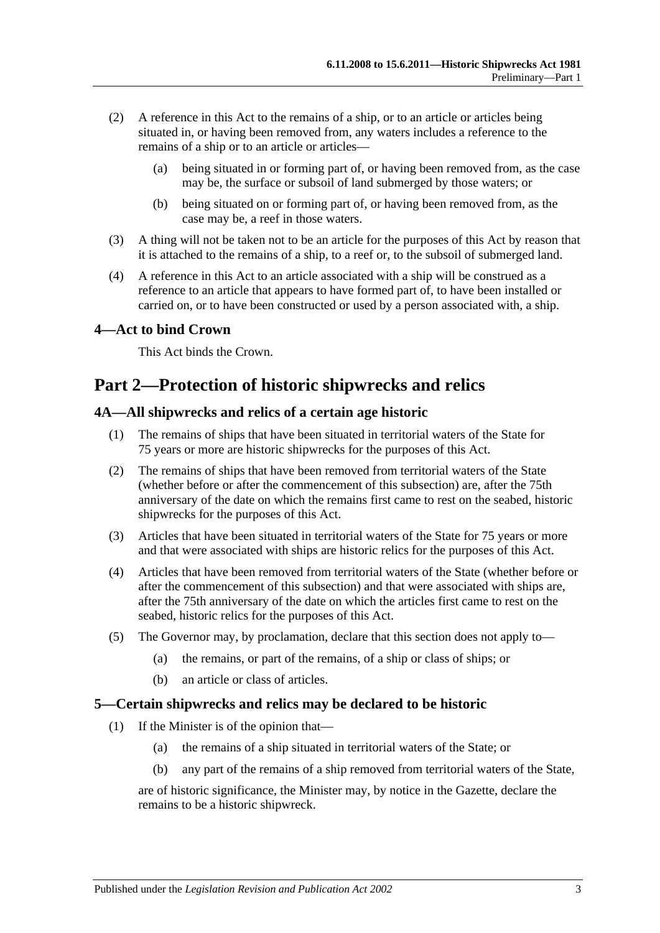- (2) A reference in this Act to the remains of a ship, or to an article or articles being situated in, or having been removed from, any waters includes a reference to the remains of a ship or to an article or articles-
	- (a) being situated in or forming part of, or having been removed from, as the case may be, the surface or subsoil of land submerged by those waters; or
	- (b) being situated on or forming part of, or having been removed from, as the case may be, a reef in those waters.
- (3) A thing will not be taken not to be an article for the purposes of this Act by reason that it is attached to the remains of a ship, to a reef or, to the subsoil of submerged land.
- (4) A reference in this Act to an article associated with a ship will be construed as a reference to an article that appears to have formed part of, to have been installed or carried on, or to have been constructed or used by a person associated with, a ship.

# <span id="page-2-0"></span>**4—Act to bind Crown**

This Act binds the Crown.

# <span id="page-2-1"></span>**Part 2—Protection of historic shipwrecks and relics**

## <span id="page-2-6"></span><span id="page-2-2"></span>**4A—All shipwrecks and relics of a certain age historic**

- (1) The remains of ships that have been situated in territorial waters of the State for 75 years or more are historic shipwrecks for the purposes of this Act.
- <span id="page-2-7"></span>(2) The remains of ships that have been removed from territorial waters of the State (whether before or after the commencement of this subsection) are, after the 75th anniversary of the date on which the remains first came to rest on the seabed, historic shipwrecks for the purposes of this Act.
- <span id="page-2-4"></span>(3) Articles that have been situated in territorial waters of the State for 75 years or more and that were associated with ships are historic relics for the purposes of this Act.
- <span id="page-2-5"></span>(4) Articles that have been removed from territorial waters of the State (whether before or after the commencement of this subsection) and that were associated with ships are, after the 75th anniversary of the date on which the articles first came to rest on the seabed, historic relics for the purposes of this Act.
- (5) The Governor may, by proclamation, declare that this section does not apply to—
	- (a) the remains, or part of the remains, of a ship or class of ships; or
	- (b) an article or class of articles.

#### <span id="page-2-3"></span>**5—Certain shipwrecks and relics may be declared to be historic**

- (1) If the Minister is of the opinion that—
	- (a) the remains of a ship situated in territorial waters of the State; or
	- (b) any part of the remains of a ship removed from territorial waters of the State,

are of historic significance, the Minister may, by notice in the Gazette, declare the remains to be a historic shipwreck.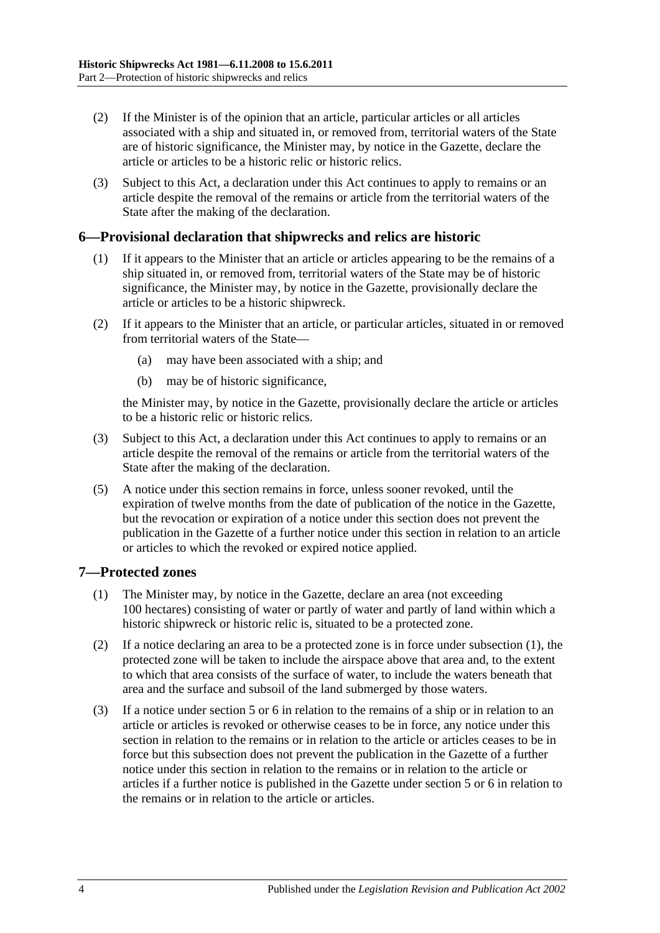- (2) If the Minister is of the opinion that an article, particular articles or all articles associated with a ship and situated in, or removed from, territorial waters of the State are of historic significance, the Minister may, by notice in the Gazette, declare the article or articles to be a historic relic or historic relics.
- (3) Subject to this Act, a declaration under this Act continues to apply to remains or an article despite the removal of the remains or article from the territorial waters of the State after the making of the declaration.

## <span id="page-3-3"></span><span id="page-3-0"></span>**6—Provisional declaration that shipwrecks and relics are historic**

- (1) If it appears to the Minister that an article or articles appearing to be the remains of a ship situated in, or removed from, territorial waters of the State may be of historic significance, the Minister may, by notice in the Gazette, provisionally declare the article or articles to be a historic shipwreck.
- <span id="page-3-2"></span>(2) If it appears to the Minister that an article, or particular articles, situated in or removed from territorial waters of the State—
	- (a) may have been associated with a ship; and
	- (b) may be of historic significance,

the Minister may, by notice in the Gazette, provisionally declare the article or articles to be a historic relic or historic relics.

- (3) Subject to this Act, a declaration under this Act continues to apply to remains or an article despite the removal of the remains or article from the territorial waters of the State after the making of the declaration.
- (5) A notice under this section remains in force, unless sooner revoked, until the expiration of twelve months from the date of publication of the notice in the Gazette, but the revocation or expiration of a notice under this section does not prevent the publication in the Gazette of a further notice under this section in relation to an article or articles to which the revoked or expired notice applied.

#### <span id="page-3-4"></span><span id="page-3-1"></span>**7—Protected zones**

- (1) The Minister may, by notice in the Gazette, declare an area (not exceeding 100 hectares) consisting of water or partly of water and partly of land within which a historic shipwreck or historic relic is, situated to be a protected zone.
- (2) If a notice declaring an area to be a protected zone is in force under [subsection](#page-3-4) (1), the protected zone will be taken to include the airspace above that area and, to the extent to which that area consists of the surface of water, to include the waters beneath that area and the surface and subsoil of the land submerged by those waters.
- (3) If a notice under section 5 or [6](#page-3-0) in relation to the remains of a ship or in relation to an article or articles is revoked or otherwise ceases to be in force, any notice under this section in relation to the remains or in relation to the article or articles ceases to be in force but this subsection does not prevent the publication in the Gazette of a further notice under this section in relation to the remains or in relation to the article or articles if a further notice is published in the Gazette under section 5 or [6](#page-3-0) in relation to the remains or in relation to the article or articles.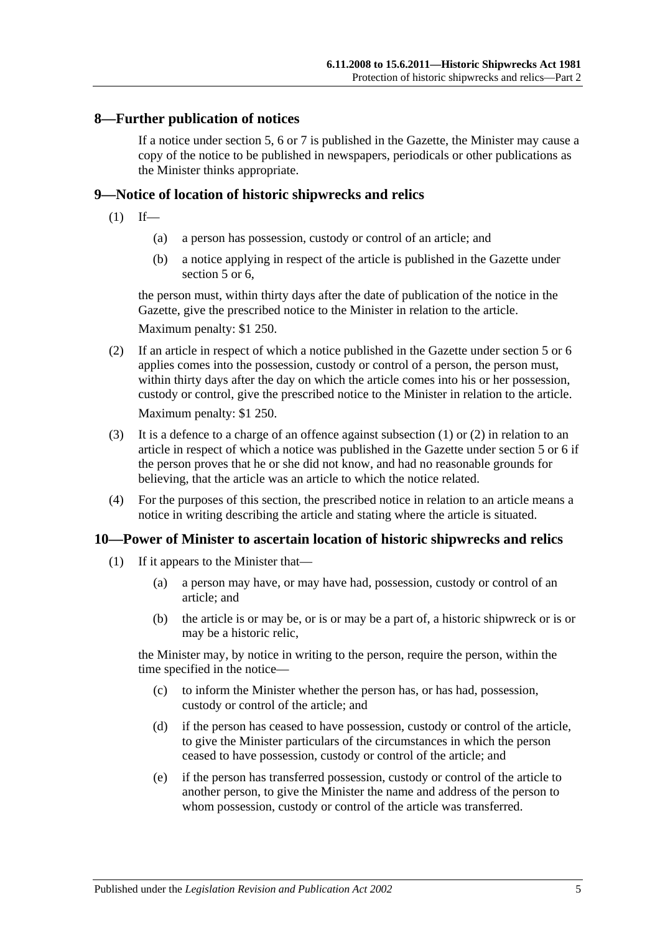### <span id="page-4-0"></span>**8—Further publication of notices**

If a notice under section 5, [6](#page-3-0) or [7](#page-3-1) is published in the Gazette, the Minister may cause a copy of the notice to be published in newspapers, periodicals or other publications as the Minister thinks appropriate.

#### <span id="page-4-3"></span><span id="page-4-1"></span>**9—Notice of location of historic shipwrecks and relics**

- $(1)$  If—
	- (a) a person has possession, custody or control of an article; and
	- (b) a notice applying in respect of the article is published in the Gazette under section 5 or [6,](#page-3-0)

the person must, within thirty days after the date of publication of the notice in the Gazette, give the prescribed notice to the Minister in relation to the article.

Maximum penalty: \$1 250.

- <span id="page-4-4"></span>(2) If an article in respect of which a notice published in the Gazette under section 5 or [6](#page-3-0) applies comes into the possession, custody or control of a person, the person must, within thirty days after the day on which the article comes into his or her possession, custody or control, give the prescribed notice to the Minister in relation to the article. Maximum penalty: \$1 250.
- (3) It is a defence to a charge of an offence against [subsection](#page-4-3) (1) or [\(2\)](#page-4-4) in relation to an article in respect of which a notice was published in the Gazette under section 5 or [6](#page-3-0) if the person proves that he or she did not know, and had no reasonable grounds for believing, that the article was an article to which the notice related.
- (4) For the purposes of this section, the prescribed notice in relation to an article means a notice in writing describing the article and stating where the article is situated.

#### <span id="page-4-5"></span><span id="page-4-2"></span>**10—Power of Minister to ascertain location of historic shipwrecks and relics**

- (1) If it appears to the Minister that—
	- (a) a person may have, or may have had, possession, custody or control of an article; and
	- (b) the article is or may be, or is or may be a part of, a historic shipwreck or is or may be a historic relic,

the Minister may, by notice in writing to the person, require the person, within the time specified in the notice—

- (c) to inform the Minister whether the person has, or has had, possession, custody or control of the article; and
- (d) if the person has ceased to have possession, custody or control of the article, to give the Minister particulars of the circumstances in which the person ceased to have possession, custody or control of the article; and
- (e) if the person has transferred possession, custody or control of the article to another person, to give the Minister the name and address of the person to whom possession, custody or control of the article was transferred.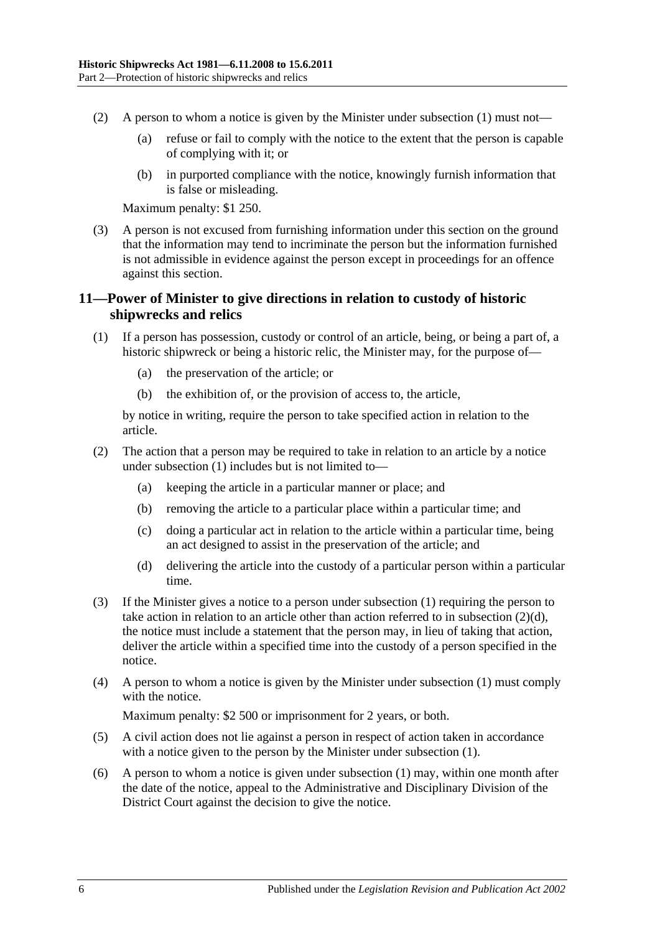- (2) A person to whom a notice is given by the Minister under [subsection](#page-4-5) (1) must not—
	- (a) refuse or fail to comply with the notice to the extent that the person is capable of complying with it; or
	- (b) in purported compliance with the notice, knowingly furnish information that is false or misleading.

Maximum penalty: \$1 250.

(3) A person is not excused from furnishing information under this section on the ground that the information may tend to incriminate the person but the information furnished is not admissible in evidence against the person except in proceedings for an offence against this section.

# <span id="page-5-0"></span>**11—Power of Minister to give directions in relation to custody of historic shipwrecks and relics**

- <span id="page-5-1"></span>(1) If a person has possession, custody or control of an article, being, or being a part of, a historic shipwreck or being a historic relic, the Minister may, for the purpose of—
	- (a) the preservation of the article; or
	- (b) the exhibition of, or the provision of access to, the article,

by notice in writing, require the person to take specified action in relation to the article.

- (2) The action that a person may be required to take in relation to an article by a notice under [subsection](#page-5-1) (1) includes but is not limited to—
	- (a) keeping the article in a particular manner or place; and
	- (b) removing the article to a particular place within a particular time; and
	- (c) doing a particular act in relation to the article within a particular time, being an act designed to assist in the preservation of the article; and
	- (d) delivering the article into the custody of a particular person within a particular time.
- <span id="page-5-2"></span>(3) If the Minister gives a notice to a person under [subsection](#page-5-1) (1) requiring the person to take action in relation to an article other than action referred to in [subsection](#page-5-2) (2)(d), the notice must include a statement that the person may, in lieu of taking that action, deliver the article within a specified time into the custody of a person specified in the notice.
- (4) A person to whom a notice is given by the Minister under [subsection](#page-5-1) (1) must comply with the notice.

Maximum penalty: \$2 500 or imprisonment for 2 years, or both.

- (5) A civil action does not lie against a person in respect of action taken in accordance with a notice given to the person by the Minister under [subsection](#page-5-1) (1).
- (6) A person to whom a notice is given under [subsection](#page-5-1) (1) may, within one month after the date of the notice, appeal to the Administrative and Disciplinary Division of the District Court against the decision to give the notice.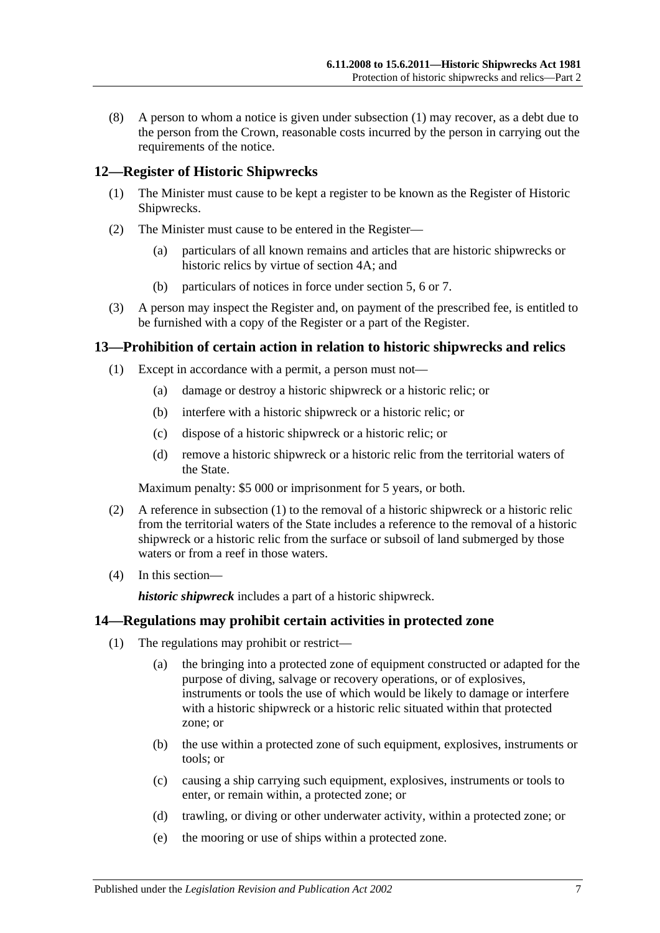(8) A person to whom a notice is given under [subsection](#page-5-1) (1) may recover, as a debt due to the person from the Crown, reasonable costs incurred by the person in carrying out the requirements of the notice.

## <span id="page-6-0"></span>**12—Register of Historic Shipwrecks**

- (1) The Minister must cause to be kept a register to be known as the Register of Historic Shipwrecks.
- (2) The Minister must cause to be entered in the Register—
	- (a) particulars of all known remains and articles that are historic shipwrecks or historic relics by virtue of [section](#page-2-2) 4A; and
	- (b) particulars of notices in force under section 5, [6](#page-3-0) or [7.](#page-3-1)
- (3) A person may inspect the Register and, on payment of the prescribed fee, is entitled to be furnished with a copy of the Register or a part of the Register.

#### <span id="page-6-3"></span><span id="page-6-1"></span>**13—Prohibition of certain action in relation to historic shipwrecks and relics**

- (1) Except in accordance with a permit, a person must not—
	- (a) damage or destroy a historic shipwreck or a historic relic; or
	- (b) interfere with a historic shipwreck or a historic relic; or
	- (c) dispose of a historic shipwreck or a historic relic; or
	- (d) remove a historic shipwreck or a historic relic from the territorial waters of the State.

Maximum penalty: \$5 000 or imprisonment for 5 years, or both.

- (2) A reference in [subsection](#page-6-3) (1) to the removal of a historic shipwreck or a historic relic from the territorial waters of the State includes a reference to the removal of a historic shipwreck or a historic relic from the surface or subsoil of land submerged by those waters or from a reef in those waters.
- (4) In this section—

*historic shipwreck* includes a part of a historic shipwreck.

#### <span id="page-6-4"></span><span id="page-6-2"></span>**14—Regulations may prohibit certain activities in protected zone**

- (1) The regulations may prohibit or restrict—
	- (a) the bringing into a protected zone of equipment constructed or adapted for the purpose of diving, salvage or recovery operations, or of explosives, instruments or tools the use of which would be likely to damage or interfere with a historic shipwreck or a historic relic situated within that protected zone; or
	- (b) the use within a protected zone of such equipment, explosives, instruments or tools; or
	- (c) causing a ship carrying such equipment, explosives, instruments or tools to enter, or remain within, a protected zone; or
	- (d) trawling, or diving or other underwater activity, within a protected zone; or
	- (e) the mooring or use of ships within a protected zone.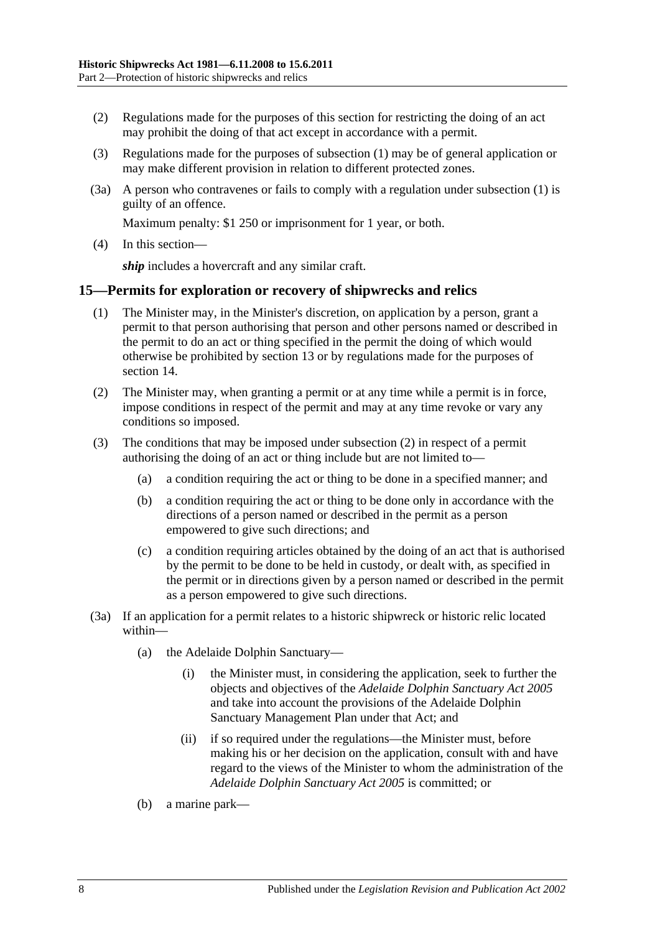- (2) Regulations made for the purposes of this section for restricting the doing of an act may prohibit the doing of that act except in accordance with a permit.
- (3) Regulations made for the purposes of [subsection](#page-6-4) (1) may be of general application or may make different provision in relation to different protected zones.
- (3a) A person who contravenes or fails to comply with a regulation under [subsection](#page-6-4) (1) is guilty of an offence.

Maximum penalty: \$1 250 or imprisonment for 1 year, or both.

(4) In this section—

*ship* includes a hovercraft and any similar craft.

#### <span id="page-7-0"></span>**15—Permits for exploration or recovery of shipwrecks and relics**

- (1) The Minister may, in the Minister's discretion, on application by a person, grant a permit to that person authorising that person and other persons named or described in the permit to do an act or thing specified in the permit the doing of which would otherwise be prohibited by [section](#page-6-1) 13 or by regulations made for the purposes of [section](#page-6-2) 14.
- <span id="page-7-1"></span>(2) The Minister may, when granting a permit or at any time while a permit is in force, impose conditions in respect of the permit and may at any time revoke or vary any conditions so imposed.
- (3) The conditions that may be imposed under [subsection](#page-7-1) (2) in respect of a permit authorising the doing of an act or thing include but are not limited to—
	- (a) a condition requiring the act or thing to be done in a specified manner; and
	- (b) a condition requiring the act or thing to be done only in accordance with the directions of a person named or described in the permit as a person empowered to give such directions; and
	- (c) a condition requiring articles obtained by the doing of an act that is authorised by the permit to be done to be held in custody, or dealt with, as specified in the permit or in directions given by a person named or described in the permit as a person empowered to give such directions.
- (3a) If an application for a permit relates to a historic shipwreck or historic relic located within—
	- (a) the Adelaide Dolphin Sanctuary—
		- (i) the Minister must, in considering the application, seek to further the objects and objectives of the *[Adelaide Dolphin Sanctuary Act](http://www.legislation.sa.gov.au/index.aspx?action=legref&type=act&legtitle=Adelaide%20Dolphin%20Sanctuary%20Act%202005) 2005* and take into account the provisions of the Adelaide Dolphin Sanctuary Management Plan under that Act; and
		- (ii) if so required under the regulations—the Minister must, before making his or her decision on the application, consult with and have regard to the views of the Minister to whom the administration of the *[Adelaide Dolphin Sanctuary Act](http://www.legislation.sa.gov.au/index.aspx?action=legref&type=act&legtitle=Adelaide%20Dolphin%20Sanctuary%20Act%202005) 2005* is committed; or
	- (b) a marine park—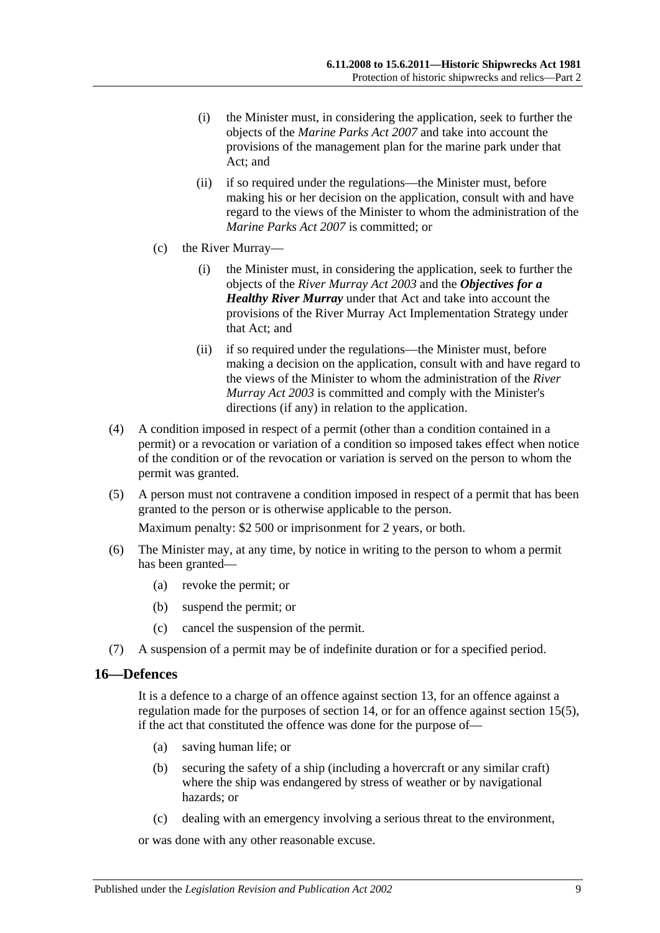- (i) the Minister must, in considering the application, seek to further the objects of the *[Marine Parks Act](http://www.legislation.sa.gov.au/index.aspx?action=legref&type=act&legtitle=Marine%20Parks%20Act%202007) 2007* and take into account the provisions of the management plan for the marine park under that Act; and
- (ii) if so required under the regulations—the Minister must, before making his or her decision on the application, consult with and have regard to the views of the Minister to whom the administration of the *[Marine Parks Act 2007](http://www.legislation.sa.gov.au/index.aspx?action=legref&type=act&legtitle=Marine%20Parks%20Act%202007)* is committed; or
- (c) the River Murray—
	- (i) the Minister must, in considering the application, seek to further the objects of the *[River Murray Act](http://www.legislation.sa.gov.au/index.aspx?action=legref&type=act&legtitle=River%20Murray%20Act%202003) 2003* and the *Objectives for a Healthy River Murray* under that Act and take into account the provisions of the River Murray Act Implementation Strategy under that Act; and
	- (ii) if so required under the regulations—the Minister must, before making a decision on the application, consult with and have regard to the views of the Minister to whom the administration of the *[River](http://www.legislation.sa.gov.au/index.aspx?action=legref&type=act&legtitle=River%20Murray%20Act%202003)  [Murray Act](http://www.legislation.sa.gov.au/index.aspx?action=legref&type=act&legtitle=River%20Murray%20Act%202003) 2003* is committed and comply with the Minister's directions (if any) in relation to the application.
- (4) A condition imposed in respect of a permit (other than a condition contained in a permit) or a revocation or variation of a condition so imposed takes effect when notice of the condition or of the revocation or variation is served on the person to whom the permit was granted.
- <span id="page-8-1"></span>(5) A person must not contravene a condition imposed in respect of a permit that has been granted to the person or is otherwise applicable to the person.

Maximum penalty: \$2 500 or imprisonment for 2 years, or both.

- (6) The Minister may, at any time, by notice in writing to the person to whom a permit has been granted—
	- (a) revoke the permit; or
	- (b) suspend the permit; or
	- (c) cancel the suspension of the permit.
- (7) A suspension of a permit may be of indefinite duration or for a specified period.

#### <span id="page-8-0"></span>**16—Defences**

It is a defence to a charge of an offence against [section](#page-6-1) 13, for an offence against a regulation made for the purposes of [section](#page-6-2) 14, or for an offence against [section](#page-8-1) 15(5), if the act that constituted the offence was done for the purpose of—

- (a) saving human life; or
- (b) securing the safety of a ship (including a hovercraft or any similar craft) where the ship was endangered by stress of weather or by navigational hazards; or
- (c) dealing with an emergency involving a serious threat to the environment,

or was done with any other reasonable excuse.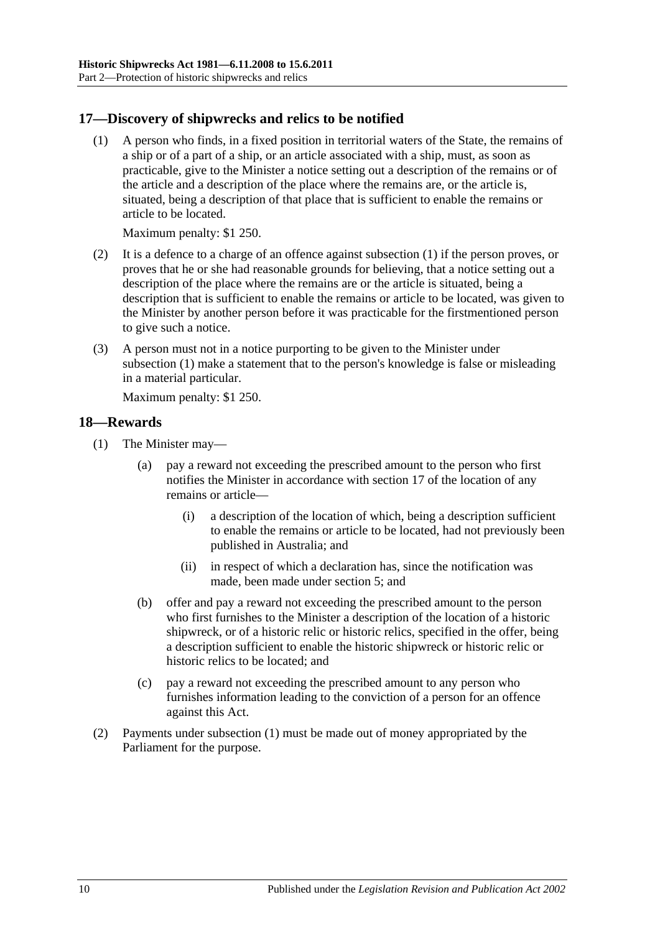# <span id="page-9-2"></span><span id="page-9-0"></span>**17—Discovery of shipwrecks and relics to be notified**

(1) A person who finds, in a fixed position in territorial waters of the State, the remains of a ship or of a part of a ship, or an article associated with a ship, must, as soon as practicable, give to the Minister a notice setting out a description of the remains or of the article and a description of the place where the remains are, or the article is, situated, being a description of that place that is sufficient to enable the remains or article to be located.

Maximum penalty: \$1 250.

- (2) It is a defence to a charge of an offence against [subsection](#page-9-2) (1) if the person proves, or proves that he or she had reasonable grounds for believing, that a notice setting out a description of the place where the remains are or the article is situated, being a description that is sufficient to enable the remains or article to be located, was given to the Minister by another person before it was practicable for the firstmentioned person to give such a notice.
- (3) A person must not in a notice purporting to be given to the Minister under [subsection](#page-9-2) (1) make a statement that to the person's knowledge is false or misleading in a material particular.

Maximum penalty: \$1 250.

#### <span id="page-9-3"></span><span id="page-9-1"></span>**18—Rewards**

- (1) The Minister may—
	- (a) pay a reward not exceeding the prescribed amount to the person who first notifies the Minister in accordance with [section](#page-9-0) 17 of the location of any remains or article—
		- (i) a description of the location of which, being a description sufficient to enable the remains or article to be located, had not previously been published in Australia; and
		- (ii) in respect of which a declaration has, since the notification was made, been made under section 5; and
	- (b) offer and pay a reward not exceeding the prescribed amount to the person who first furnishes to the Minister a description of the location of a historic shipwreck, or of a historic relic or historic relics, specified in the offer, being a description sufficient to enable the historic shipwreck or historic relic or historic relics to be located; and
	- (c) pay a reward not exceeding the prescribed amount to any person who furnishes information leading to the conviction of a person for an offence against this Act.
- (2) Payments under [subsection](#page-9-3) (1) must be made out of money appropriated by the Parliament for the purpose.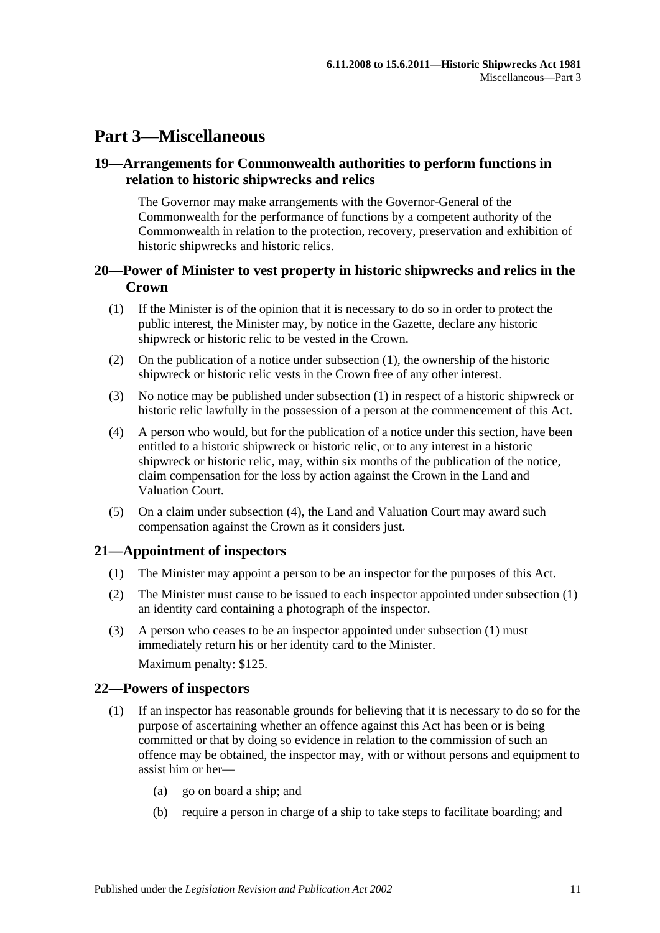# <span id="page-10-0"></span>**Part 3—Miscellaneous**

# <span id="page-10-1"></span>**19—Arrangements for Commonwealth authorities to perform functions in relation to historic shipwrecks and relics**

The Governor may make arrangements with the Governor-General of the Commonwealth for the performance of functions by a competent authority of the Commonwealth in relation to the protection, recovery, preservation and exhibition of historic shipwrecks and historic relics.

# <span id="page-10-2"></span>**20—Power of Minister to vest property in historic shipwrecks and relics in the Crown**

- <span id="page-10-5"></span>(1) If the Minister is of the opinion that it is necessary to do so in order to protect the public interest, the Minister may, by notice in the Gazette, declare any historic shipwreck or historic relic to be vested in the Crown.
- (2) On the publication of a notice under [subsection](#page-10-5) (1), the ownership of the historic shipwreck or historic relic vests in the Crown free of any other interest.
- (3) No notice may be published under [subsection](#page-10-5) (1) in respect of a historic shipwreck or historic relic lawfully in the possession of a person at the commencement of this Act.
- <span id="page-10-6"></span>(4) A person who would, but for the publication of a notice under this section, have been entitled to a historic shipwreck or historic relic, or to any interest in a historic shipwreck or historic relic, may, within six months of the publication of the notice, claim compensation for the loss by action against the Crown in the Land and Valuation Court.
- (5) On a claim under [subsection](#page-10-6) (4), the Land and Valuation Court may award such compensation against the Crown as it considers just.

# <span id="page-10-7"></span><span id="page-10-3"></span>**21—Appointment of inspectors**

- (1) The Minister may appoint a person to be an inspector for the purposes of this Act.
- (2) The Minister must cause to be issued to each inspector appointed under [subsection](#page-10-7) (1) an identity card containing a photograph of the inspector.
- (3) A person who ceases to be an inspector appointed under [subsection](#page-10-7) (1) must immediately return his or her identity card to the Minister.

Maximum penalty: \$125.

## <span id="page-10-4"></span>**22—Powers of inspectors**

- <span id="page-10-8"></span>(1) If an inspector has reasonable grounds for believing that it is necessary to do so for the purpose of ascertaining whether an offence against this Act has been or is being committed or that by doing so evidence in relation to the commission of such an offence may be obtained, the inspector may, with or without persons and equipment to assist him or her—
	- (a) go on board a ship; and
	- (b) require a person in charge of a ship to take steps to facilitate boarding; and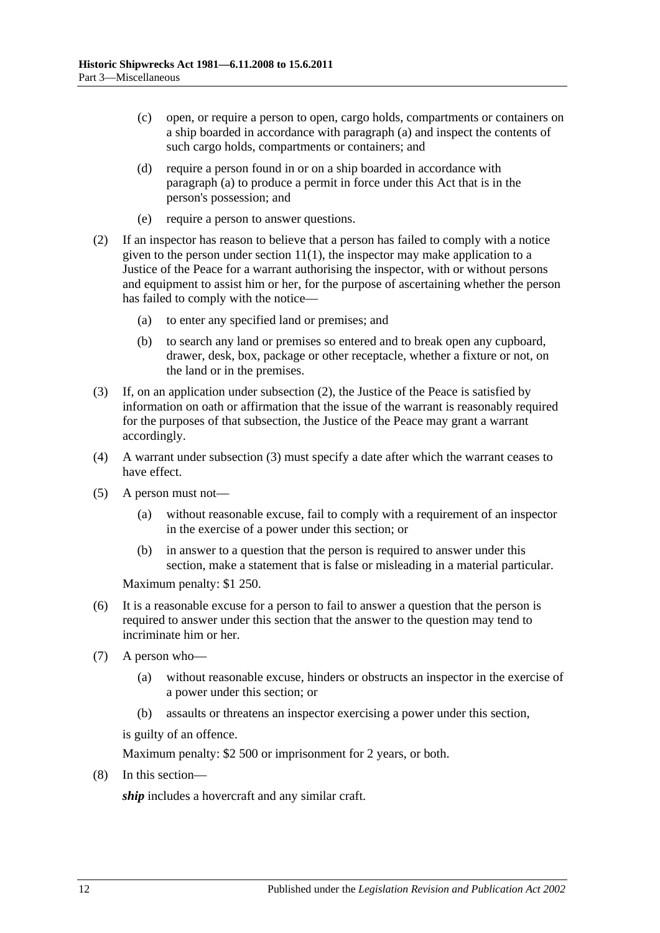- (c) open, or require a person to open, cargo holds, compartments or containers on a ship boarded in accordance with [paragraph](#page-10-8) (a) and inspect the contents of such cargo holds, compartments or containers; and
- (d) require a person found in or on a ship boarded in accordance with [paragraph](#page-10-8) (a) to produce a permit in force under this Act that is in the person's possession; and
- (e) require a person to answer questions.
- <span id="page-11-0"></span>(2) If an inspector has reason to believe that a person has failed to comply with a notice given to the person under [section](#page-5-1)  $11(1)$ , the inspector may make application to a Justice of the Peace for a warrant authorising the inspector, with or without persons and equipment to assist him or her, for the purpose of ascertaining whether the person has failed to comply with the notice—
	- (a) to enter any specified land or premises; and
	- (b) to search any land or premises so entered and to break open any cupboard, drawer, desk, box, package or other receptacle, whether a fixture or not, on the land or in the premises.
- <span id="page-11-1"></span>(3) If, on an application under [subsection](#page-11-0) (2), the Justice of the Peace is satisfied by information on oath or affirmation that the issue of the warrant is reasonably required for the purposes of that subsection, the Justice of the Peace may grant a warrant accordingly.
- (4) A warrant under [subsection](#page-11-1) (3) must specify a date after which the warrant ceases to have effect.
- (5) A person must not—
	- (a) without reasonable excuse, fail to comply with a requirement of an inspector in the exercise of a power under this section; or
	- (b) in answer to a question that the person is required to answer under this section, make a statement that is false or misleading in a material particular.

Maximum penalty: \$1 250.

- (6) It is a reasonable excuse for a person to fail to answer a question that the person is required to answer under this section that the answer to the question may tend to incriminate him or her.
- (7) A person who—
	- (a) without reasonable excuse, hinders or obstructs an inspector in the exercise of a power under this section; or
	- (b) assaults or threatens an inspector exercising a power under this section,

is guilty of an offence.

Maximum penalty: \$2 500 or imprisonment for 2 years, or both.

(8) In this section—

*ship* includes a hovercraft and any similar craft.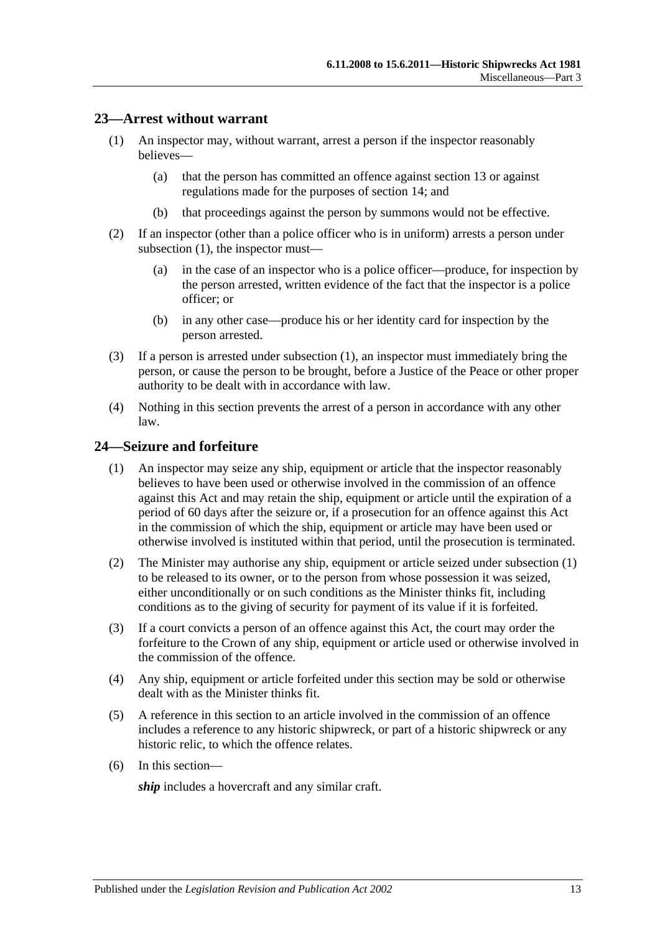## <span id="page-12-2"></span><span id="page-12-0"></span>**23—Arrest without warrant**

- (1) An inspector may, without warrant, arrest a person if the inspector reasonably believes—
	- (a) that the person has committed an offence against [section](#page-6-1) 13 or against regulations made for the purposes of [section](#page-6-2) 14; and
	- (b) that proceedings against the person by summons would not be effective.
- (2) If an inspector (other than a police officer who is in uniform) arrests a person under [subsection](#page-12-2) (1), the inspector must—
	- (a) in the case of an inspector who is a police officer—produce, for inspection by the person arrested, written evidence of the fact that the inspector is a police officer; or
	- (b) in any other case—produce his or her identity card for inspection by the person arrested.
- (3) If a person is arrested under [subsection](#page-12-2) (1), an inspector must immediately bring the person, or cause the person to be brought, before a Justice of the Peace or other proper authority to be dealt with in accordance with law.
- (4) Nothing in this section prevents the arrest of a person in accordance with any other law.

#### <span id="page-12-3"></span><span id="page-12-1"></span>**24—Seizure and forfeiture**

- (1) An inspector may seize any ship, equipment or article that the inspector reasonably believes to have been used or otherwise involved in the commission of an offence against this Act and may retain the ship, equipment or article until the expiration of a period of 60 days after the seizure or, if a prosecution for an offence against this Act in the commission of which the ship, equipment or article may have been used or otherwise involved is instituted within that period, until the prosecution is terminated.
- (2) The Minister may authorise any ship, equipment or article seized under [subsection](#page-12-3) (1) to be released to its owner, or to the person from whose possession it was seized, either unconditionally or on such conditions as the Minister thinks fit, including conditions as to the giving of security for payment of its value if it is forfeited.
- (3) If a court convicts a person of an offence against this Act, the court may order the forfeiture to the Crown of any ship, equipment or article used or otherwise involved in the commission of the offence.
- (4) Any ship, equipment or article forfeited under this section may be sold or otherwise dealt with as the Minister thinks fit.
- (5) A reference in this section to an article involved in the commission of an offence includes a reference to any historic shipwreck, or part of a historic shipwreck or any historic relic, to which the offence relates.
- (6) In this section—

*ship* includes a hovercraft and any similar craft.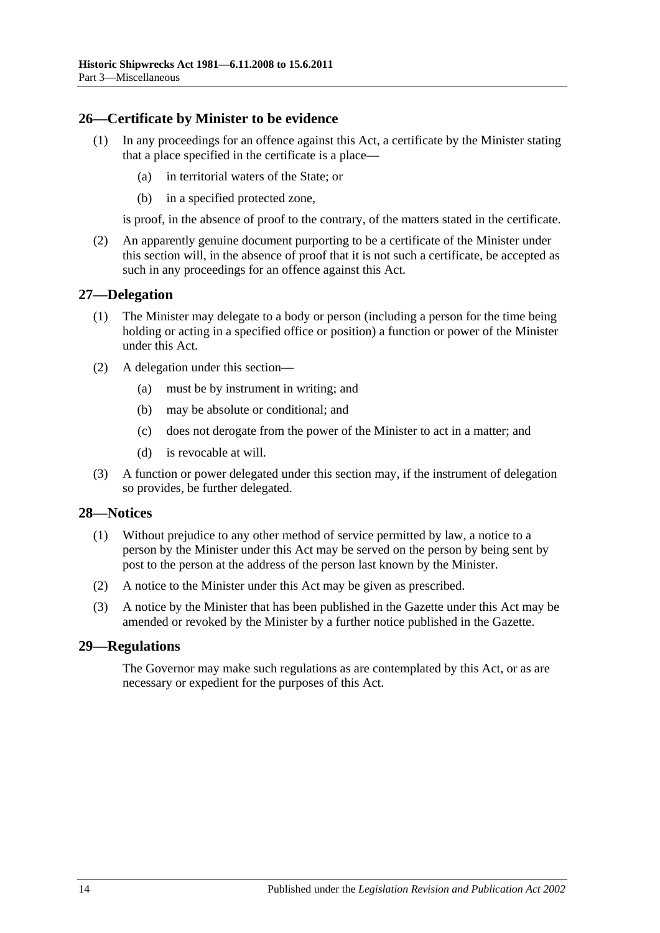# <span id="page-13-0"></span>**26—Certificate by Minister to be evidence**

- (1) In any proceedings for an offence against this Act, a certificate by the Minister stating that a place specified in the certificate is a place—
	- (a) in territorial waters of the State; or
	- (b) in a specified protected zone,

is proof, in the absence of proof to the contrary, of the matters stated in the certificate.

(2) An apparently genuine document purporting to be a certificate of the Minister under this section will, in the absence of proof that it is not such a certificate, be accepted as such in any proceedings for an offence against this Act.

## <span id="page-13-1"></span>**27—Delegation**

- (1) The Minister may delegate to a body or person (including a person for the time being holding or acting in a specified office or position) a function or power of the Minister under this Act.
- (2) A delegation under this section—
	- (a) must be by instrument in writing; and
	- (b) may be absolute or conditional; and
	- (c) does not derogate from the power of the Minister to act in a matter; and
	- (d) is revocable at will.
- (3) A function or power delegated under this section may, if the instrument of delegation so provides, be further delegated.

#### <span id="page-13-2"></span>**28—Notices**

- (1) Without prejudice to any other method of service permitted by law, a notice to a person by the Minister under this Act may be served on the person by being sent by post to the person at the address of the person last known by the Minister.
- (2) A notice to the Minister under this Act may be given as prescribed.
- (3) A notice by the Minister that has been published in the Gazette under this Act may be amended or revoked by the Minister by a further notice published in the Gazette.

#### <span id="page-13-3"></span>**29—Regulations**

The Governor may make such regulations as are contemplated by this Act, or as are necessary or expedient for the purposes of this Act.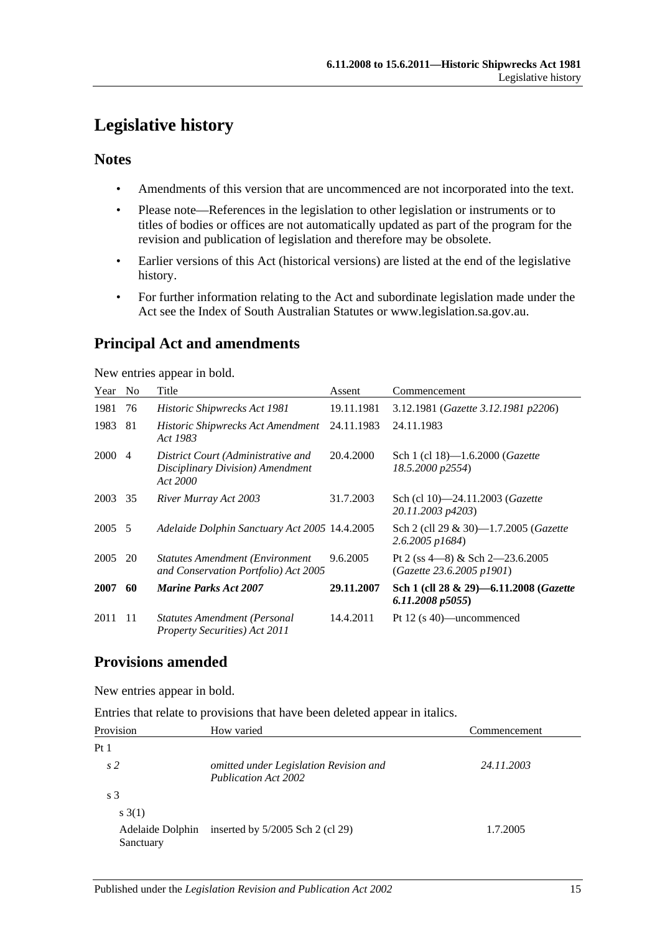# <span id="page-14-0"></span>**Legislative history**

# **Notes**

- Amendments of this version that are uncommenced are not incorporated into the text.
- Please note—References in the legislation to other legislation or instruments or to titles of bodies or offices are not automatically updated as part of the program for the revision and publication of legislation and therefore may be obsolete.
- Earlier versions of this Act (historical versions) are listed at the end of the legislative history.
- For further information relating to the Act and subordinate legislation made under the Act see the Index of South Australian Statutes or www.legislation.sa.gov.au.

# **Principal Act and amendments**

New entries appear in bold.

| Year   | N <sub>0</sub> | Title                                                                              | Assent     | Commencement                                                      |
|--------|----------------|------------------------------------------------------------------------------------|------------|-------------------------------------------------------------------|
| 1981   | 76             | Historic Shipwrecks Act 1981                                                       | 19.11.1981 | 3.12.1981 (Gazette 3.12.1981 p2206)                               |
| 1983   | 81             | <b>Historic Shipwrecks Act Amendment</b><br>Act 1983                               | 24.11.1983 | 24.11.1983                                                        |
| 2000   | -4             | District Court (Administrative and<br>Disciplinary Division) Amendment<br>Act 2000 | 20.4.2000  | Sch 1 (cl 18)—1.6.2000 ( <i>Gazette</i><br>18.5.2000 p2554)       |
| 2003   | 35             | River Murray Act 2003                                                              | 31.7.2003  | Sch (cl 10)-24.11.2003 (Gazette<br>20.11.2003 p4203)              |
| 2005 5 |                | Adelaide Dolphin Sanctuary Act 2005 14.4.2005                                      |            | Sch 2 (cll 29 & 30)—1.7.2005 ( <i>Gazette</i><br>2.6.2005 p1684)  |
| 2005   | 20             | <b>Statutes Amendment (Environment</b> )<br>and Conservation Portfolio) Act 2005   | 9.6.2005   | Pt 2 (ss $4-8$ ) & Sch $2-23.6.2005$<br>(Gazette 23.6.2005 p1901) |
| 2007   | 60             | <b>Marine Parks Act 2007</b>                                                       | 29.11.2007 | Sch 1 (cll 28 & 29)-6.11.2008 (Gazette<br>6.11.2008 p5055         |
| 2011   | 11             | Statutes Amendment (Personal<br>Property Securities) Act 2011                      | 14.4.2011  | Pt 12 $(s 40)$ —uncommenced                                       |

# **Provisions amended**

New entries appear in bold.

Entries that relate to provisions that have been deleted appear in italics.

| Provision                     | How varied                                                            | Commencement |
|-------------------------------|-----------------------------------------------------------------------|--------------|
| Pt <sub>1</sub>               |                                                                       |              |
| s <sub>2</sub>                | omitted under Legislation Revision and<br><b>Publication Act 2002</b> | 24.11.2003   |
| s <sub>3</sub>                |                                                                       |              |
| s(3(1))                       |                                                                       |              |
| Adelaide Dolphin<br>Sanctuary | inserted by $5/2005$ Sch 2 (cl 29)                                    | 1.7.2005     |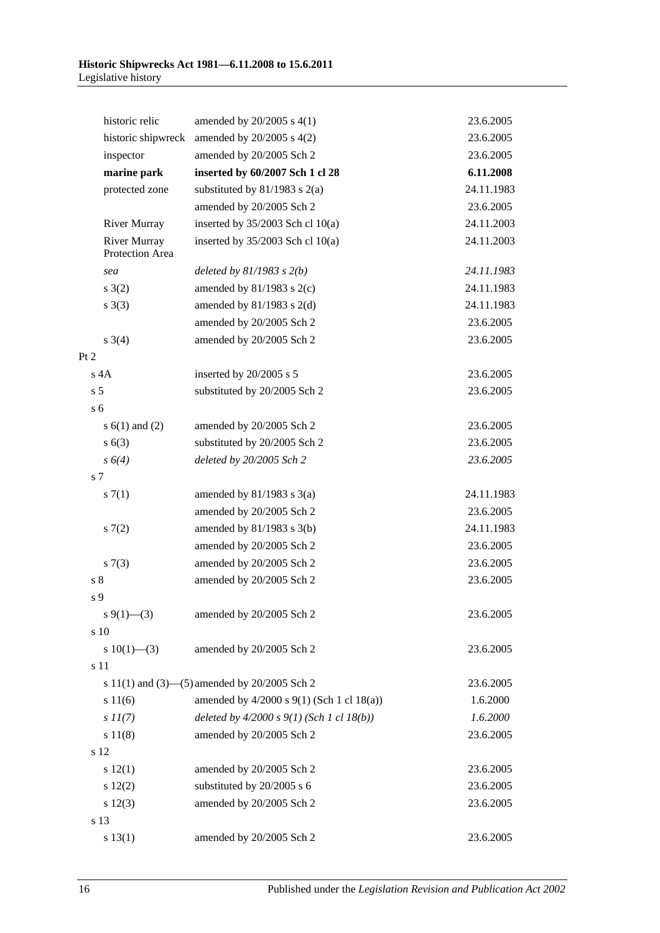| historic relic                         | amended by $20/2005$ s $4(1)$                | 23.6.2005  |
|----------------------------------------|----------------------------------------------|------------|
| historic shipwreck                     | amended by $20/2005$ s $4(2)$                | 23.6.2005  |
| inspector                              | amended by 20/2005 Sch 2                     | 23.6.2005  |
| marine park                            | inserted by 60/2007 Sch 1 cl 28              | 6.11.2008  |
| protected zone                         | substituted by $81/1983$ s $2(a)$            | 24.11.1983 |
|                                        | amended by 20/2005 Sch 2                     | 23.6.2005  |
| <b>River Murray</b>                    | inserted by $35/2003$ Sch cl 10(a)           | 24.11.2003 |
| <b>River Murray</b><br>Protection Area | inserted by $35/2003$ Sch cl 10(a)           | 24.11.2003 |
| sea                                    | deleted by $81/1983$ s $2(b)$                | 24.11.1983 |
| s(2)                                   | amended by $81/1983$ s $2(c)$                | 24.11.1983 |
| $s \; 3(3)$                            | amended by $81/1983$ s $2(d)$                | 24.11.1983 |
|                                        | amended by 20/2005 Sch 2                     | 23.6.2005  |
| $s \; 3(4)$                            | amended by 20/2005 Sch 2                     | 23.6.2005  |
| Pt 2                                   |                                              |            |
| $s$ 4A                                 | inserted by 20/2005 s 5                      | 23.6.2005  |
| s <sub>5</sub>                         | substituted by 20/2005 Sch 2                 | 23.6.2005  |
| s <sub>6</sub>                         |                                              |            |
| s $6(1)$ and $(2)$                     | amended by 20/2005 Sch 2                     | 23.6.2005  |
| s(6(3))                                | substituted by 20/2005 Sch 2                 | 23.6.2005  |
| s 6(4)                                 | deleted by 20/2005 Sch 2                     | 23.6.2005  |
| s <sub>7</sub>                         |                                              |            |
| s(7(1)                                 | amended by $81/1983$ s $3(a)$                | 24.11.1983 |
|                                        | amended by 20/2005 Sch 2                     | 23.6.2005  |
| s(7(2)                                 | amended by $81/1983$ s $3(b)$                | 24.11.1983 |
|                                        | amended by 20/2005 Sch 2                     | 23.6.2005  |
| s(7(3))                                | amended by 20/2005 Sch 2                     | 23.6.2005  |
| s <sub>8</sub>                         | amended by 20/2005 Sch 2                     | 23.6.2005  |
| s <sub>9</sub>                         |                                              |            |
| $s \frac{9(1)}{-3}$                    | amended by 20/2005 Sch 2                     | 23.6.2005  |
| s 10                                   |                                              |            |
| s $10(1)$ —(3)                         | amended by 20/2005 Sch 2                     | 23.6.2005  |
| s 11                                   |                                              |            |
|                                        | s 11(1) and (3)–(5) amended by 20/2005 Sch 2 | 23.6.2005  |
| s 11(6)                                | amended by 4/2000 s 9(1) (Sch 1 cl 18(a))    | 1.6.2000   |
| $s\,II(7)$                             | deleted by $4/2000 s 9(1)$ (Sch 1 cl 18(b))  | 1.6.2000   |
| s 11(8)                                | amended by 20/2005 Sch 2                     | 23.6.2005  |
| s 12                                   |                                              |            |
| s 12(1)                                | amended by 20/2005 Sch 2                     | 23.6.2005  |
| 12(2)                                  | substituted by 20/2005 s 6                   | 23.6.2005  |
| s 12(3)                                | amended by 20/2005 Sch 2                     | 23.6.2005  |
| s 13                                   |                                              |            |
| s 13(1)                                | amended by 20/2005 Sch 2                     | 23.6.2005  |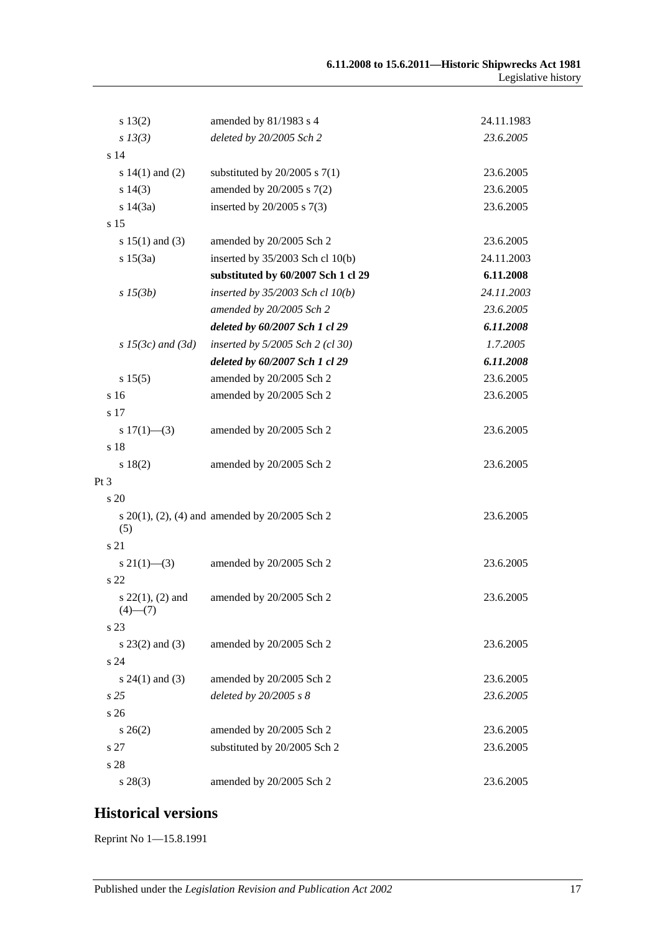| s 13(2)                             | amended by 81/1983 s 4                                   | 24.11.1983 |
|-------------------------------------|----------------------------------------------------------|------------|
| $s$ 13(3)                           | deleted by 20/2005 Sch 2                                 | 23.6.2005  |
| s <sub>14</sub>                     |                                                          |            |
| s $14(1)$ and $(2)$                 | substituted by $20/2005$ s $7(1)$                        | 23.6.2005  |
| $s\ 14(3)$                          | amended by 20/2005 s 7(2)                                | 23.6.2005  |
| s $14(3a)$                          | inserted by $20/2005$ s $7(3)$                           | 23.6.2005  |
| s <sub>15</sub>                     |                                                          |            |
| s $15(1)$ and (3)                   | amended by 20/2005 Sch 2                                 | 23.6.2005  |
| s 15(3a)                            | inserted by $35/2003$ Sch cl 10(b)                       | 24.11.2003 |
|                                     | substituted by 60/2007 Sch 1 cl 29                       | 6.11.2008  |
| $s\,15(3b)$                         | inserted by $35/2003$ Sch cl $10(b)$                     | 24.11.2003 |
|                                     | amended by 20/2005 Sch 2                                 | 23.6.2005  |
|                                     | deleted by 60/2007 Sch 1 cl 29                           | 6.11.2008  |
| $s$ 15(3c) and (3d)                 | inserted by 5/2005 Sch 2 (cl 30)                         | 1.7.2005   |
|                                     | deleted by 60/2007 Sch 1 cl 29                           | 6.11.2008  |
| s 15(5)                             | amended by 20/2005 Sch 2                                 | 23.6.2005  |
| s 16                                | amended by 20/2005 Sch 2                                 | 23.6.2005  |
| s 17                                |                                                          |            |
| s $17(1)$ —(3)                      | amended by 20/2005 Sch 2                                 | 23.6.2005  |
| s 18                                |                                                          |            |
| s 18(2)                             | amended by 20/2005 Sch 2                                 | 23.6.2005  |
| Pt 3                                |                                                          |            |
| $\frac{1}{20}$                      |                                                          |            |
| (5)                                 | s $20(1)$ , $(2)$ , $(4)$ and amended by $20/2005$ Sch 2 | 23.6.2005  |
| s 21                                |                                                          |            |
| $s\ 21(1)$ —(3)                     | amended by 20/2005 Sch 2                                 | 23.6.2005  |
| s <sub>22</sub>                     |                                                          |            |
| $s$ 22(1), (2) and<br>$(4)$ — $(7)$ | amended by 20/2005 Sch 2                                 | 23.6.2005  |
| s 23                                |                                                          |            |
| $s$ 23(2) and (3)                   | amended by 20/2005 Sch 2                                 | 23.6.2005  |
| s24                                 |                                                          |            |
| s $24(1)$ and (3)                   | amended by 20/2005 Sch 2                                 | 23.6.2005  |
| s <sub>25</sub>                     | deleted by 20/2005 s 8                                   | 23.6.2005  |
| s 26                                |                                                          |            |
| $s \, 26(2)$                        | amended by 20/2005 Sch 2                                 | 23.6.2005  |
| s 27                                | substituted by 20/2005 Sch 2                             | 23.6.2005  |
| s 28                                |                                                          |            |
| $s\,28(3)$                          | amended by 20/2005 Sch 2                                 | 23.6.2005  |

# **Historical versions**

Reprint No 1—15.8.1991